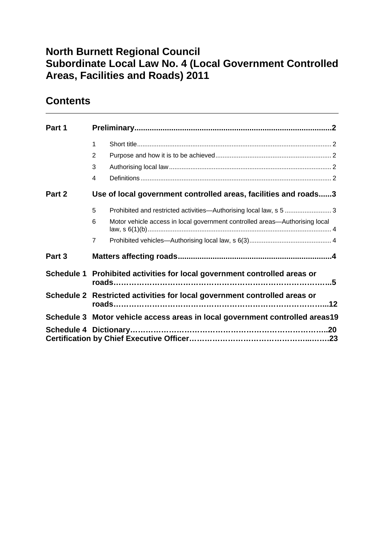## **North Burnett Regional Council Subordinate Local Law No. 4 (Local Government Controlled Areas, Facilities and Roads) 2011**

## **Contents**

| Part 1 |                                                                                  |
|--------|----------------------------------------------------------------------------------|
|        | 1                                                                                |
|        | 2                                                                                |
|        | 3                                                                                |
|        | $\overline{4}$                                                                   |
| Part 2 | Use of local government controlled areas, facilities and roads3                  |
|        | 5<br>Prohibited and restricted activities-Authorising local law, s 5  3          |
|        | Motor vehicle access in local government controlled areas-Authorising local<br>6 |
|        | $\overline{7}$                                                                   |
| Part 3 |                                                                                  |
|        | Schedule 1 Prohibited activities for local government controlled areas or        |
|        | Schedule 2 Restricted activities for local government controlled areas or        |
|        | Schedule 3 Motor vehicle access areas in local government controlled areas19     |
|        |                                                                                  |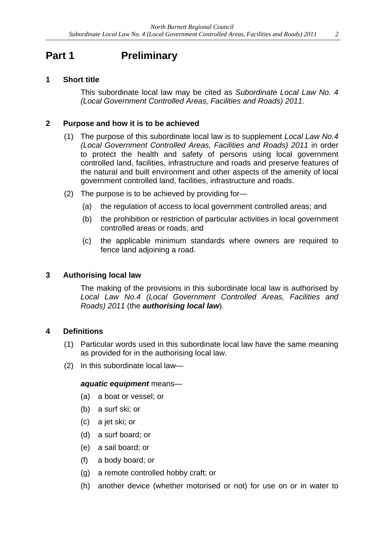## **Part 1** Preliminary

#### **1 Short title**

This subordinate local law may be cited as *Subordinate Local Law No. 4 (Local Government Controlled Areas, Facilities and Roads) 2011.*

#### **2 Purpose and how it is to be achieved**

- (1) The purpose of this subordinate local law is to supplement *Local Law No.4 (Local Government Controlled Areas, Facilities and Roads) 2011* in order to protect the health and safety of persons using local government controlled land, facilities, infrastructure and roads and preserve features of the natural and built environment and other aspects of the amenity of local government controlled land, facilities, infrastructure and roads.
- (2) The purpose is to be achieved by providing for—
	- (a) the regulation of access to local government controlled areas; and
	- (b) the prohibition or restriction of particular activities in local government controlled areas or roads; and
	- (c) the applicable minimum standards where owners are required to fence land adjoining a road.

#### **3 Authorising local law**

The making of the provisions in this subordinate local law is authorised by *Local Law No.4 (Local Government Controlled Areas, Facilities and Roads) 2011* (the *authorising local law*)*.* 

#### **4 Definitions**

- (1) Particular words used in this subordinate local law have the same meaning as provided for in the authorising local law.
- (2) In this subordinate local law—

#### *aquatic equipment* means—

- (a) a boat or vessel; or
- (b) a surf ski; or
- (c) a jet ski; or
- (d) a surf board; or
- (e) a sail board; or
- (f) a body board; or
- (g) a remote controlled hobby craft; or
- (h) another device (whether motorised or not) for use on or in water to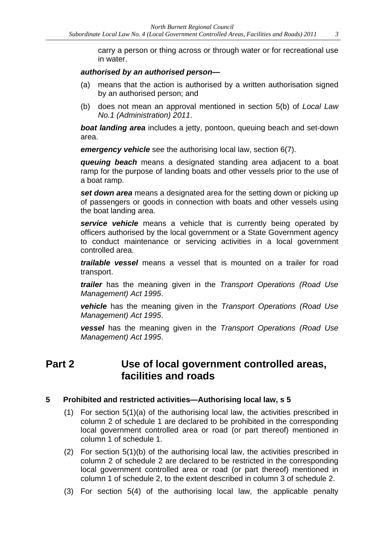carry a person or thing across or through water or for recreational use in water.

#### *authorised by an authorised person—*

- (a) means that the action is authorised by a written authorisation signed by an authorised person; and
- (b) does not mean an approval mentioned in section 5(b) of *Local Law No.1 (Administration) 2011*.

*boat landing area* includes a jetty, pontoon, queuing beach and set-down area.

*emergency vehicle* see the authorising local law, section 6(7).

*queuing beach* means a designated standing area adjacent to a boat ramp for the purpose of landing boats and other vessels prior to the use of a boat ramp.

*set down area* means a designated area for the setting down or picking up of passengers or goods in connection with boats and other vessels using the boat landing area.

*service vehicle* means a vehicle that is currently being operated by officers authorised by the local government or a State Government agency to conduct maintenance or servicing activities in a local government controlled area.

*trailable vessel* means a vessel that is mounted on a trailer for road transport.

*trailer* has the meaning given in the *Transport Operations (Road Use Management) Act 1995*.

*vehicle* has the meaning given in the *Transport Operations (Road Use Management) Act 1995*.

*vessel* has the meaning given in the *Transport Operations (Road Use Management) Act 1995*.

### **Part 2 Use of local government controlled areas, facilities and roads**

#### **5 Prohibited and restricted activities—Authorising local law, s 5**

- (1) For section 5(1)(a) of the authorising local law, the activities prescribed in column 2 of schedule 1 are declared to be prohibited in the corresponding local government controlled area or road (or part thereof) mentioned in column 1 of schedule 1.
- (2) For section 5(1)(b) of the authorising local law, the activities prescribed in column 2 of schedule 2 are declared to be restricted in the corresponding local government controlled area or road (or part thereof) mentioned in column 1 of schedule 2, to the extent described in column 3 of schedule 2.
- (3) For section 5(4) of the authorising local law, the applicable penalty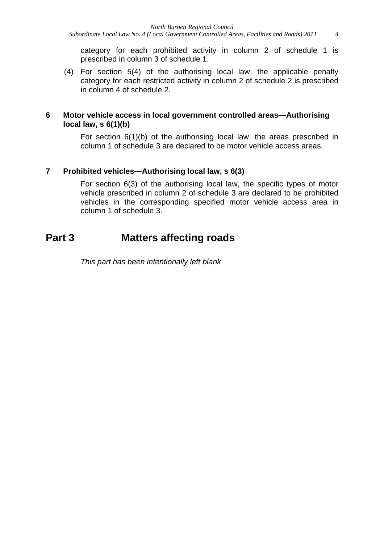category for each prohibited activity in column 2 of schedule 1 is prescribed in column 3 of schedule 1.

(4) For section 5(4) of the authorising local law, the applicable penalty category for each restricted activity in column 2 of schedule 2 is prescribed in column 4 of schedule 2.

#### **6 Motor vehicle access in local government controlled areas—Authorising local law, s 6(1)(b)**

For section 6(1)(b) of the authorising local law, the areas prescribed in column 1 of schedule 3 are declared to be motor vehicle access areas.

### **7 Prohibited vehicles—Authorising local law, s 6(3)**

For section 6(3) of the authorising local law, the specific types of motor vehicle prescribed in column 2 of schedule 3 are declared to be prohibited vehicles in the corresponding specified motor vehicle access area in column 1 of schedule 3.

### **Part 3 Matters affecting roads**

*This part has been intentionally left blank*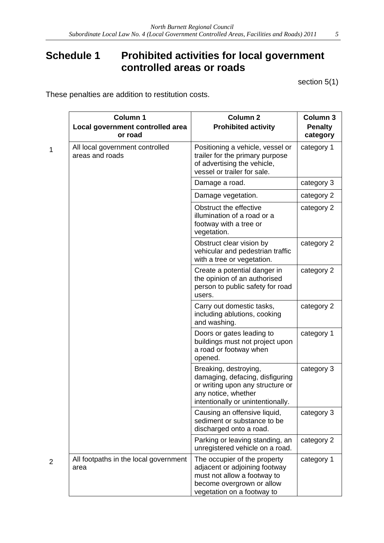## **Schedule 1 Prohibited activities for local government controlled areas or roads**

section 5(1)

These penalties are addition to restitution costs.

|   | <b>Column 1</b><br>Local government controlled area<br>or road | <b>Column 2</b><br><b>Prohibited activity</b>                                                                                                            | Column 3<br><b>Penalty</b><br>category |
|---|----------------------------------------------------------------|----------------------------------------------------------------------------------------------------------------------------------------------------------|----------------------------------------|
| 1 | All local government controlled<br>areas and roads             | Positioning a vehicle, vessel or<br>trailer for the primary purpose<br>of advertising the vehicle,<br>vessel or trailer for sale.                        | category 1                             |
|   |                                                                | Damage a road.                                                                                                                                           | category 3                             |
|   |                                                                | Damage vegetation.                                                                                                                                       | category 2                             |
|   |                                                                | Obstruct the effective<br>illumination of a road or a<br>footway with a tree or<br>vegetation.                                                           | category 2                             |
|   |                                                                | Obstruct clear vision by<br>vehicular and pedestrian traffic<br>with a tree or vegetation.                                                               | category 2                             |
|   |                                                                | Create a potential danger in<br>the opinion of an authorised<br>person to public safety for road<br>users.                                               | category 2                             |
|   |                                                                | Carry out domestic tasks,<br>including ablutions, cooking<br>and washing.                                                                                | category 2                             |
|   |                                                                | Doors or gates leading to<br>buildings must not project upon<br>a road or footway when<br>opened.                                                        | category 1                             |
|   |                                                                | Breaking, destroying,<br>damaging, defacing, disfiguring<br>or writing upon any structure or<br>any notice, whether<br>intentionally or unintentionally. | category 3                             |
|   |                                                                | Causing an offensive liquid,<br>sediment or substance to be<br>discharged onto a road.                                                                   | category 3                             |
|   |                                                                | Parking or leaving standing, an<br>unregistered vehicle on a road.                                                                                       | category 2                             |
| 2 | All footpaths in the local government<br>area                  | The occupier of the property<br>adjacent or adjoining footway<br>must not allow a footway to<br>become overgrown or allow<br>vegetation on a footway to  | category 1                             |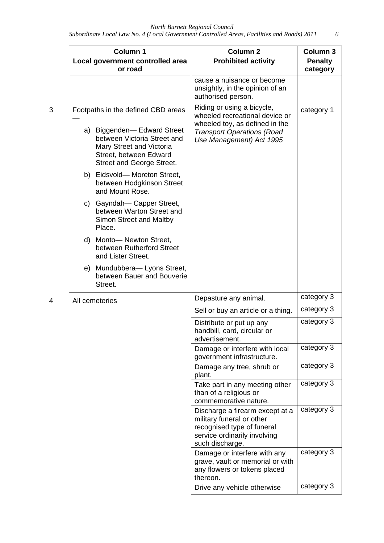|    | Column 1<br>Local government controlled area<br>or road                                                                                      | <b>Column 2</b><br><b>Prohibited activity</b>                                                                                                 | Column <sub>3</sub><br><b>Penalty</b><br>category |
|----|----------------------------------------------------------------------------------------------------------------------------------------------|-----------------------------------------------------------------------------------------------------------------------------------------------|---------------------------------------------------|
|    |                                                                                                                                              | cause a nuisance or become<br>unsightly, in the opinion of an<br>authorised person.                                                           |                                                   |
|    | Footpaths in the defined CBD areas                                                                                                           | Riding or using a bicycle,<br>wheeled recreational device or<br>wheeled toy, as defined in the                                                | category 1                                        |
|    | a) Biggenden-Edward Street<br>between Victoria Street and<br>Mary Street and Victoria<br>Street, between Edward<br>Street and George Street. | <b>Transport Operations (Road</b><br>Use Management) Act 1995                                                                                 |                                                   |
|    | b) Eidsvold-Moreton Street,<br>between Hodgkinson Street<br>and Mount Rose.                                                                  |                                                                                                                                               |                                                   |
| C) | Gayndah-Capper Street,<br>between Warton Street and<br>Simon Street and Maltby<br>Place.                                                     |                                                                                                                                               |                                                   |
| d) | Monto-Newton Street,<br>between Rutherford Street<br>and Lister Street.                                                                      |                                                                                                                                               |                                                   |
|    | e) Mundubbera-Lyons Street,<br>between Bauer and Bouverie<br>Street.                                                                         |                                                                                                                                               |                                                   |
|    | All cemeteries                                                                                                                               | Depasture any animal.                                                                                                                         | category 3                                        |
|    |                                                                                                                                              | Sell or buy an article or a thing.                                                                                                            | category 3                                        |
|    |                                                                                                                                              | Distribute or put up any<br>handbill, card, circular or<br>advertisement.                                                                     | category 3                                        |
|    |                                                                                                                                              | Damage or interfere with local<br>government infrastructure.                                                                                  | category 3                                        |
|    |                                                                                                                                              | Damage any tree, shrub or<br>plant.                                                                                                           | category 3                                        |
|    |                                                                                                                                              | Take part in any meeting other<br>than of a religious or<br>commemorative nature.                                                             | category 3                                        |
|    |                                                                                                                                              | Discharge a firearm except at a<br>military funeral or other<br>recognised type of funeral<br>service ordinarily involving<br>such discharge. | category 3                                        |
|    |                                                                                                                                              | Damage or interfere with any<br>grave, vault or memorial or with<br>any flowers or tokens placed<br>thereon.                                  | category 3                                        |
|    |                                                                                                                                              | Drive any vehicle otherwise                                                                                                                   | category 3                                        |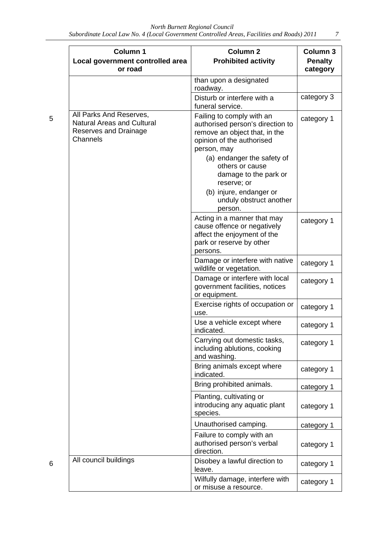| <b>Column 1</b><br>Local government controlled area<br>or road                                    | <b>Column 2</b><br><b>Prohibited activity</b>                                                                                                                                                                                                                                                        | Column 3<br><b>Penalty</b><br>category |
|---------------------------------------------------------------------------------------------------|------------------------------------------------------------------------------------------------------------------------------------------------------------------------------------------------------------------------------------------------------------------------------------------------------|----------------------------------------|
|                                                                                                   | than upon a designated<br>roadway.                                                                                                                                                                                                                                                                   |                                        |
|                                                                                                   | Disturb or interfere with a<br>funeral service.                                                                                                                                                                                                                                                      | category 3                             |
| All Parks And Reserves,<br><b>Natural Areas and Cultural</b><br>Reserves and Drainage<br>Channels | Failing to comply with an<br>authorised person's direction to<br>remove an object that, in the<br>opinion of the authorised<br>person, may<br>(a) endanger the safety of<br>others or cause<br>damage to the park or<br>reserve; or<br>(b) injure, endanger or<br>unduly obstruct another<br>person. | category 1                             |
|                                                                                                   | Acting in a manner that may<br>cause offence or negatively<br>affect the enjoyment of the<br>park or reserve by other<br>persons.                                                                                                                                                                    | category 1                             |
|                                                                                                   | Damage or interfere with native<br>wildlife or vegetation.                                                                                                                                                                                                                                           | category 1                             |
|                                                                                                   | Damage or interfere with local<br>government facilities, notices<br>or equipment.                                                                                                                                                                                                                    | category 1                             |
|                                                                                                   | Exercise rights of occupation or<br>use.                                                                                                                                                                                                                                                             | category 1                             |
|                                                                                                   | Use a vehicle except where<br>indicated.                                                                                                                                                                                                                                                             | category 1                             |
|                                                                                                   | Carrying out domestic tasks,<br>including ablutions, cooking<br>and washing.                                                                                                                                                                                                                         | category 1                             |
|                                                                                                   | Bring animals except where<br>indicated.                                                                                                                                                                                                                                                             | category 1                             |
|                                                                                                   | Bring prohibited animals.                                                                                                                                                                                                                                                                            | category 1                             |
|                                                                                                   | Planting, cultivating or<br>introducing any aquatic plant<br>species.                                                                                                                                                                                                                                | category 1                             |
|                                                                                                   | Unauthorised camping.                                                                                                                                                                                                                                                                                | category 1                             |
|                                                                                                   | Failure to comply with an<br>authorised person's verbal<br>direction.                                                                                                                                                                                                                                | category 1                             |
| All council buildings                                                                             | Disobey a lawful direction to<br>leave.                                                                                                                                                                                                                                                              | category 1                             |
|                                                                                                   | Wilfully damage, interfere with<br>or misuse a resource.                                                                                                                                                                                                                                             | category 1                             |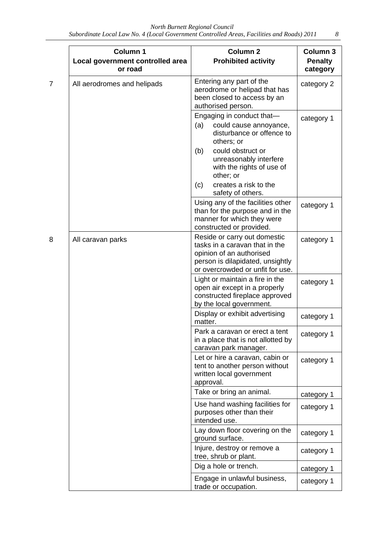|  | Column 1<br>Local government controlled area<br>or road | <b>Column 2</b><br><b>Prohibited activity</b>                                                                                                                                                                                                              | Column 3<br><b>Penalty</b><br>category |
|--|---------------------------------------------------------|------------------------------------------------------------------------------------------------------------------------------------------------------------------------------------------------------------------------------------------------------------|----------------------------------------|
|  | All aerodromes and helipads                             | Entering any part of the<br>aerodrome or helipad that has<br>been closed to access by an<br>authorised person.                                                                                                                                             | category 2                             |
|  |                                                         | Engaging in conduct that-<br>could cause annoyance,<br>(a)<br>disturbance or offence to<br>others; or<br>could obstruct or<br>(b)<br>unreasonably interfere<br>with the rights of use of<br>other; or<br>creates a risk to the<br>(c)<br>safety of others. | category 1                             |
|  |                                                         | Using any of the facilities other<br>than for the purpose and in the<br>manner for which they were<br>constructed or provided.                                                                                                                             | category 1                             |
|  | All caravan parks                                       | Reside or carry out domestic<br>tasks in a caravan that in the<br>opinion of an authorised<br>person is dilapidated, unsightly<br>or overcrowded or unfit for use.                                                                                         | category 1                             |
|  |                                                         | Light or maintain a fire in the<br>open air except in a properly<br>constructed fireplace approved<br>by the local government.                                                                                                                             | category 1                             |
|  |                                                         | Display or exhibit advertising<br>matter.                                                                                                                                                                                                                  | category 1                             |
|  |                                                         | Park a caravan or erect a tent<br>in a place that is not allotted by<br>caravan park manager.                                                                                                                                                              | category 1                             |
|  |                                                         | Let or hire a caravan, cabin or<br>tent to another person without<br>written local government<br>approval.                                                                                                                                                 | category 1                             |
|  |                                                         | Take or bring an animal.                                                                                                                                                                                                                                   | category 1                             |
|  |                                                         | Use hand washing facilities for<br>purposes other than their<br>intended use.                                                                                                                                                                              | category 1                             |
|  |                                                         | Lay down floor covering on the<br>ground surface.                                                                                                                                                                                                          | category 1                             |
|  |                                                         | Injure, destroy or remove a<br>tree, shrub or plant.                                                                                                                                                                                                       | category 1                             |
|  |                                                         | Dig a hole or trench.                                                                                                                                                                                                                                      | category 1                             |
|  |                                                         | Engage in unlawful business,<br>trade or occupation.                                                                                                                                                                                                       | category 1                             |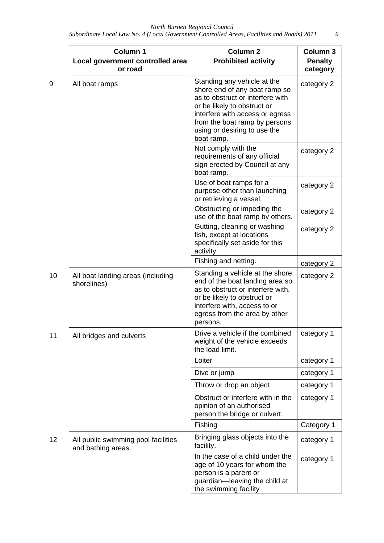|    | Column 1<br>Local government controlled area<br>or road   | Column <sub>2</sub><br><b>Prohibited activity</b>                                                                                                                                                                                                 | Column 3<br><b>Penalty</b><br>category |
|----|-----------------------------------------------------------|---------------------------------------------------------------------------------------------------------------------------------------------------------------------------------------------------------------------------------------------------|----------------------------------------|
| 9  | All boat ramps                                            | Standing any vehicle at the<br>shore end of any boat ramp so<br>as to obstruct or interfere with<br>or be likely to obstruct or<br>interfere with access or egress<br>from the boat ramp by persons<br>using or desiring to use the<br>boat ramp. | category 2                             |
|    |                                                           | Not comply with the<br>requirements of any official<br>sign erected by Council at any<br>boat ramp.                                                                                                                                               | category 2                             |
|    |                                                           | Use of boat ramps for a<br>purpose other than launching<br>or retrieving a vessel.                                                                                                                                                                | category 2                             |
|    |                                                           | Obstructing or impeding the<br>use of the boat ramp by others.                                                                                                                                                                                    | category 2                             |
|    |                                                           | Gutting, cleaning or washing<br>fish, except at locations<br>specifically set aside for this<br>activity.                                                                                                                                         | category 2                             |
|    |                                                           | Fishing and netting.                                                                                                                                                                                                                              | category 2                             |
| 10 | All boat landing areas (including<br>shorelines)          | Standing a vehicle at the shore<br>end of the boat landing area so<br>as to obstruct or interfere with,<br>or be likely to obstruct or<br>interfere with, access to or<br>egress from the area by other<br>persons.                               | category 2                             |
| 11 | All bridges and culverts                                  | Drive a vehicle if the combined<br>weight of the vehicle exceeds<br>the load limit.                                                                                                                                                               | category 1                             |
|    |                                                           | Loiter                                                                                                                                                                                                                                            | category 1                             |
|    |                                                           | Dive or jump                                                                                                                                                                                                                                      | category 1                             |
|    |                                                           | Throw or drop an object                                                                                                                                                                                                                           | category 1                             |
|    |                                                           | Obstruct or interfere with in the<br>opinion of an authorised<br>person the bridge or culvert.                                                                                                                                                    | category 1                             |
|    |                                                           | Fishing                                                                                                                                                                                                                                           | Category 1                             |
| 12 | All public swimming pool facilities<br>and bathing areas. | Bringing glass objects into the<br>facility.                                                                                                                                                                                                      | category 1                             |
|    |                                                           | In the case of a child under the<br>age of 10 years for whom the<br>person is a parent or<br>guardian-leaving the child at<br>the swimming facility                                                                                               | category 1                             |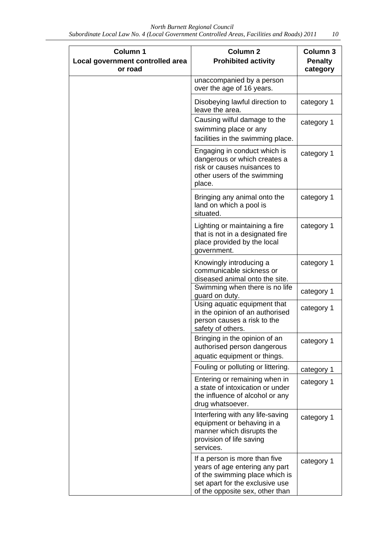| Column 1<br>Local government controlled area<br>or road | <b>Column 2</b><br><b>Prohibited activity</b>                                                                                                                           | Column 3<br><b>Penalty</b><br>category |
|---------------------------------------------------------|-------------------------------------------------------------------------------------------------------------------------------------------------------------------------|----------------------------------------|
|                                                         | unaccompanied by a person<br>over the age of 16 years.                                                                                                                  |                                        |
|                                                         | Disobeying lawful direction to<br>leave the area.                                                                                                                       | category 1                             |
|                                                         | Causing wilful damage to the<br>swimming place or any<br>facilities in the swimming place.                                                                              | category 1                             |
|                                                         | Engaging in conduct which is<br>dangerous or which creates a<br>risk or causes nuisances to<br>other users of the swimming<br>place.                                    | category 1                             |
|                                                         | Bringing any animal onto the<br>land on which a pool is<br>situated.                                                                                                    | category 1                             |
|                                                         | Lighting or maintaining a fire<br>that is not in a designated fire<br>place provided by the local<br>government.                                                        | category 1                             |
|                                                         | Knowingly introducing a<br>communicable sickness or<br>diseased animal onto the site.                                                                                   | category 1                             |
|                                                         | Swimming when there is no life<br>guard on duty.                                                                                                                        | category 1                             |
|                                                         | Using aquatic equipment that<br>in the opinion of an authorised<br>person causes a risk to the<br>safety of others.                                                     | category 1                             |
|                                                         | Bringing in the opinion of an<br>authorised person dangerous                                                                                                            | category 1                             |
|                                                         | aquatic equipment or things.                                                                                                                                            |                                        |
|                                                         | Fouling or polluting or littering.                                                                                                                                      | category 1                             |
|                                                         | Entering or remaining when in<br>a state of intoxication or under<br>the influence of alcohol or any<br>drug whatsoever.                                                | category 1                             |
|                                                         | Interfering with any life-saving<br>equipment or behaving in a<br>manner which disrupts the<br>provision of life saving<br>services.                                    | category 1                             |
|                                                         | If a person is more than five<br>years of age entering any part<br>of the swimming place which is<br>set apart for the exclusive use<br>of the opposite sex, other than | category 1                             |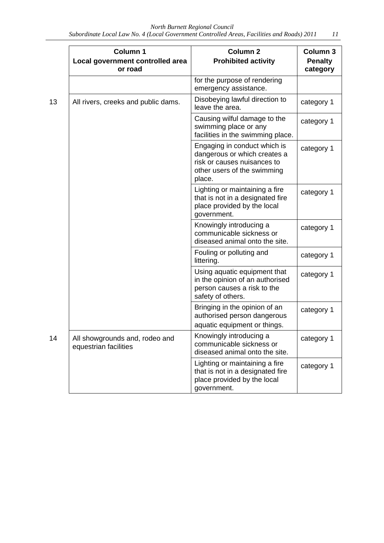| <b>Column 1</b><br>Local government controlled area<br>or road | <b>Column 2</b><br><b>Prohibited activity</b>                                                                                        | Column 3<br><b>Penalty</b><br>category |
|----------------------------------------------------------------|--------------------------------------------------------------------------------------------------------------------------------------|----------------------------------------|
|                                                                | for the purpose of rendering<br>emergency assistance.                                                                                |                                        |
| All rivers, creeks and public dams.                            | Disobeying lawful direction to<br>leave the area.                                                                                    | category 1                             |
|                                                                | Causing wilful damage to the<br>swimming place or any<br>facilities in the swimming place.                                           | category 1                             |
|                                                                | Engaging in conduct which is<br>dangerous or which creates a<br>risk or causes nuisances to<br>other users of the swimming<br>place. | category 1                             |
|                                                                | Lighting or maintaining a fire<br>that is not in a designated fire<br>place provided by the local<br>government.                     | category 1                             |
|                                                                | Knowingly introducing a<br>communicable sickness or<br>diseased animal onto the site.                                                | category 1                             |
|                                                                | Fouling or polluting and<br>littering.                                                                                               | category 1                             |
|                                                                | Using aquatic equipment that<br>in the opinion of an authorised<br>person causes a risk to the<br>safety of others.                  | category 1                             |
|                                                                | Bringing in the opinion of an<br>authorised person dangerous<br>aquatic equipment or things.                                         | category 1                             |
| All showgrounds and, rodeo and<br>equestrian facilities        | Knowingly introducing a<br>communicable sickness or<br>diseased animal onto the site.                                                | category 1                             |
|                                                                | Lighting or maintaining a fire<br>that is not in a designated fire<br>place provided by the local<br>government.                     | category 1                             |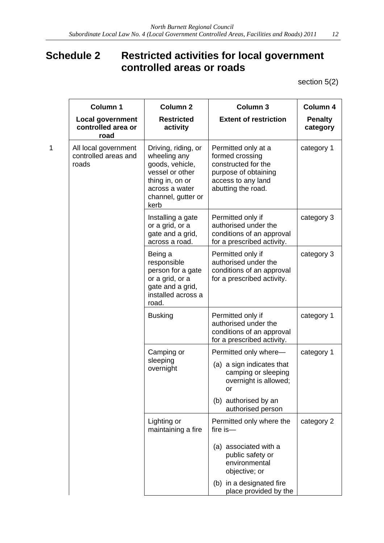### **Schedule 2 Restricted activities for local government controlled areas or roads**

section 5(2)

|   | Column 1<br><b>Local government</b><br>controlled area or<br>road | Column <sub>2</sub><br><b>Restricted</b><br>activity                                                                                         | <b>Column 3</b><br><b>Extent of restriction</b>                                                                                   | Column 4<br><b>Penalty</b><br>category |
|---|-------------------------------------------------------------------|----------------------------------------------------------------------------------------------------------------------------------------------|-----------------------------------------------------------------------------------------------------------------------------------|----------------------------------------|
| 1 | All local government<br>controlled areas and<br>roads             | Driving, riding, or<br>wheeling any<br>goods, vehicle,<br>vessel or other<br>thing in, on or<br>across a water<br>channel, gutter or<br>kerb | Permitted only at a<br>formed crossing<br>constructed for the<br>purpose of obtaining<br>access to any land<br>abutting the road. | category 1                             |
|   |                                                                   | Installing a gate<br>or a grid, or a<br>gate and a grid,<br>across a road.                                                                   | Permitted only if<br>authorised under the<br>conditions of an approval<br>for a prescribed activity.                              | category 3                             |
|   |                                                                   | Being a<br>responsible<br>person for a gate<br>or a grid, or a<br>gate and a grid,<br>installed across a<br>road.                            | Permitted only if<br>authorised under the<br>conditions of an approval<br>for a prescribed activity.                              | category 3                             |
|   |                                                                   | <b>Busking</b>                                                                                                                               | Permitted only if<br>authorised under the<br>conditions of an approval<br>for a prescribed activity.                              | category 1                             |
|   |                                                                   | Camping or                                                                                                                                   | Permitted only where-                                                                                                             | category 1                             |
|   |                                                                   | sleeping<br>overnight                                                                                                                        | (a) a sign indicates that<br>camping or sleeping<br>overnight is allowed;<br>or                                                   |                                        |
|   |                                                                   |                                                                                                                                              | (b) authorised by an<br>authorised person                                                                                         |                                        |
|   |                                                                   | Lighting or<br>maintaining a fire                                                                                                            | Permitted only where the<br>fire is- $-$                                                                                          | category 2                             |
|   |                                                                   |                                                                                                                                              | (a) associated with a<br>public safety or<br>environmental<br>objective; or                                                       |                                        |
|   |                                                                   |                                                                                                                                              | (b) in a designated fire<br>place provided by the                                                                                 |                                        |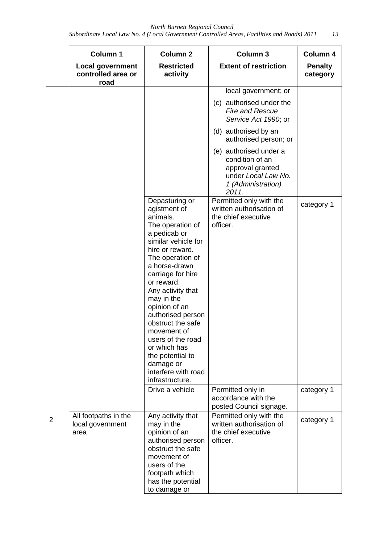*Subordinate Local Law No. 4 (Local Government Controlled Areas, Facilities and Roads) 2011 13* 

|                | Column 1<br><b>Local government</b><br>controlled area or | <b>Column 2</b><br><b>Restricted</b><br>activity                                                                                                                                                                                                                                                                                                                                                                              | Column 3<br><b>Extent of restriction</b>                                                                            | Column 4<br><b>Penalty</b> |
|----------------|-----------------------------------------------------------|-------------------------------------------------------------------------------------------------------------------------------------------------------------------------------------------------------------------------------------------------------------------------------------------------------------------------------------------------------------------------------------------------------------------------------|---------------------------------------------------------------------------------------------------------------------|----------------------------|
|                | road                                                      |                                                                                                                                                                                                                                                                                                                                                                                                                               |                                                                                                                     | category                   |
|                |                                                           |                                                                                                                                                                                                                                                                                                                                                                                                                               | local government; or                                                                                                |                            |
|                |                                                           |                                                                                                                                                                                                                                                                                                                                                                                                                               | (c) authorised under the<br><b>Fire and Rescue</b><br>Service Act 1990; or                                          |                            |
|                |                                                           |                                                                                                                                                                                                                                                                                                                                                                                                                               | (d) authorised by an<br>authorised person; or                                                                       |                            |
|                |                                                           |                                                                                                                                                                                                                                                                                                                                                                                                                               | (e) authorised under a<br>condition of an<br>approval granted<br>under Local Law No.<br>1 (Administration)<br>2011. |                            |
|                |                                                           | Depasturing or<br>agistment of<br>animals.<br>The operation of<br>a pedicab or<br>similar vehicle for<br>hire or reward.<br>The operation of<br>a horse-drawn<br>carriage for hire<br>or reward.<br>Any activity that<br>may in the<br>opinion of an<br>authorised person<br>obstruct the safe<br>movement of<br>users of the road<br>or which has<br>the potential to<br>damage or<br>interfere with road<br>infrastructure. | Permitted only with the<br>written authorisation of<br>the chief executive<br>officer.                              | category 1                 |
|                |                                                           | Drive a vehicle                                                                                                                                                                                                                                                                                                                                                                                                               | Permitted only in<br>accordance with the<br>posted Council signage.                                                 | category 1                 |
| $\overline{2}$ | All footpaths in the<br>local government<br>area          | Any activity that<br>may in the<br>opinion of an<br>authorised person<br>obstruct the safe<br>movement of<br>users of the<br>footpath which<br>has the potential<br>to damage or                                                                                                                                                                                                                                              | Permitted only with the<br>written authorisation of<br>the chief executive<br>officer.                              | category 1                 |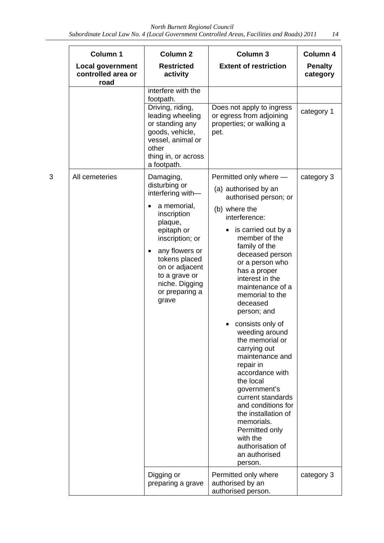|   | Column 1                                              | Column <sub>2</sub>                                                                                                                                                                                                                                       | Column 3                                                                                                                                                                                                                                                                                                                                                                                                                                                                                                                                                                                                                       | Column 4                   |
|---|-------------------------------------------------------|-----------------------------------------------------------------------------------------------------------------------------------------------------------------------------------------------------------------------------------------------------------|--------------------------------------------------------------------------------------------------------------------------------------------------------------------------------------------------------------------------------------------------------------------------------------------------------------------------------------------------------------------------------------------------------------------------------------------------------------------------------------------------------------------------------------------------------------------------------------------------------------------------------|----------------------------|
|   | <b>Local government</b><br>controlled area or<br>road | <b>Restricted</b><br>activity                                                                                                                                                                                                                             | <b>Extent of restriction</b>                                                                                                                                                                                                                                                                                                                                                                                                                                                                                                                                                                                                   | <b>Penalty</b><br>category |
|   |                                                       | interfere with the<br>footpath.                                                                                                                                                                                                                           |                                                                                                                                                                                                                                                                                                                                                                                                                                                                                                                                                                                                                                |                            |
|   |                                                       | Driving, riding,<br>leading wheeling<br>or standing any<br>goods, vehicle,<br>vessel, animal or<br>other<br>thing in, or across<br>a footpath.                                                                                                            | Does not apply to ingress<br>or egress from adjoining<br>properties; or walking a<br>pet.                                                                                                                                                                                                                                                                                                                                                                                                                                                                                                                                      | category 1                 |
| 3 | All cemeteries                                        | Damaging,<br>disturbing or<br>interfering with-<br>a memorial,<br>inscription<br>plaque,<br>epitaph or<br>inscription; or<br>any flowers or<br>$\bullet$<br>tokens placed<br>on or adjacent<br>to a grave or<br>niche. Digging<br>or preparing a<br>grave | Permitted only where -<br>(a) authorised by an<br>authorised person; or<br>(b) where the<br>interference:<br>is carried out by a<br>٠<br>member of the<br>family of the<br>deceased person<br>or a person who<br>has a proper<br>interest in the<br>maintenance of a<br>memorial to the<br>deceased<br>person; and<br>consists only of<br>weeding around<br>the memorial or<br>carrying out<br>maintenance and<br>repair in<br>accordance with<br>the local<br>government's<br>current standards<br>and conditions for<br>the installation of<br>memorials.<br>Permitted only<br>with the<br>authorisation of<br>an authorised | category 3                 |
|   |                                                       | Digging or<br>preparing a grave                                                                                                                                                                                                                           | person.<br>Permitted only where<br>authorised by an<br>authorised person.                                                                                                                                                                                                                                                                                                                                                                                                                                                                                                                                                      | category 3                 |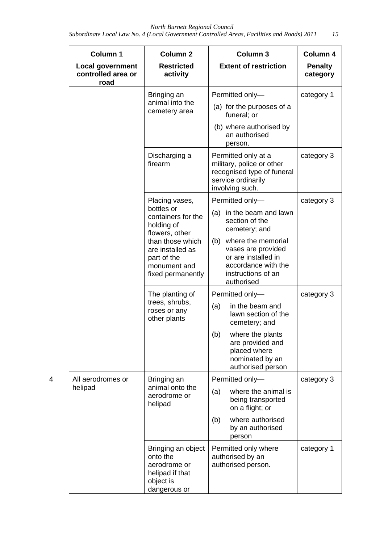|   | Column 1<br><b>Local government</b> | <b>Column 2</b><br><b>Restricted</b>                                                           | Column <sub>3</sub><br><b>Extent of restriction</b>                                                                            | Column 4<br><b>Penalty</b> |
|---|-------------------------------------|------------------------------------------------------------------------------------------------|--------------------------------------------------------------------------------------------------------------------------------|----------------------------|
|   | controlled area or<br>road          | activity                                                                                       |                                                                                                                                | category                   |
|   |                                     | Bringing an                                                                                    | Permitted only-                                                                                                                | category 1                 |
|   |                                     | animal into the<br>cemetery area                                                               | (a) for the purposes of a<br>funeral; or                                                                                       |                            |
|   |                                     |                                                                                                | (b) where authorised by<br>an authorised<br>person.                                                                            |                            |
|   |                                     | Discharging a<br>firearm                                                                       | Permitted only at a<br>military, police or other<br>recognised type of funeral<br>service ordinarily<br>involving such.        | category 3                 |
|   |                                     | Placing vases,                                                                                 | Permitted only-                                                                                                                | category 3                 |
|   |                                     | bottles or<br>containers for the<br>holding of<br>flowers, other                               | in the beam and lawn<br>(a)<br>section of the<br>cemetery; and                                                                 |                            |
|   |                                     | than those which<br>are installed as<br>part of the<br>monument and<br>fixed permanently       | (b) where the memorial<br>vases are provided<br>or are installed in<br>accordance with the<br>instructions of an<br>authorised |                            |
|   |                                     | The planting of<br>trees, shrubs,<br>roses or any<br>other plants                              | Permitted only-                                                                                                                | category 3                 |
|   |                                     |                                                                                                | in the beam and<br>(a)<br>lawn section of the<br>cemetery; and                                                                 |                            |
|   |                                     |                                                                                                | (b)<br>where the plants<br>are provided and<br>placed where<br>nominated by an<br>authorised person                            |                            |
| 4 | All aerodromes or                   | Bringing an                                                                                    | Permitted only-                                                                                                                | category 3                 |
|   | helipad                             | animal onto the<br>aerodrome or<br>helipad                                                     | where the animal is<br>(a)<br>being transported<br>on a flight; or                                                             |                            |
|   |                                     |                                                                                                | where authorised<br>(b)<br>by an authorised<br>person                                                                          |                            |
|   |                                     | Bringing an object<br>onto the<br>aerodrome or<br>helipad if that<br>object is<br>dangerous or | Permitted only where<br>authorised by an<br>authorised person.                                                                 | category 1                 |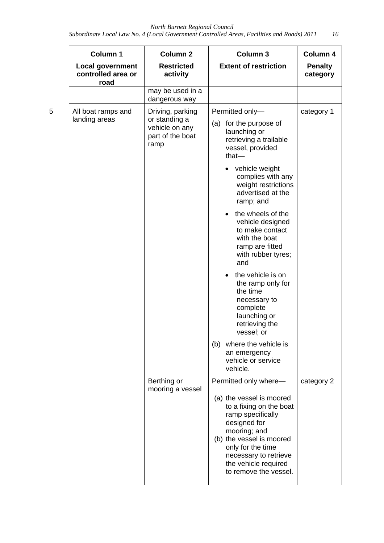|   | Column 1                                       | <b>Column 2</b>                                                                 | Column <sub>3</sub>                                                                                                                                                                                                                                                                                                                                                                                                                                                                                                                                                                           | Column 4                   |
|---|------------------------------------------------|---------------------------------------------------------------------------------|-----------------------------------------------------------------------------------------------------------------------------------------------------------------------------------------------------------------------------------------------------------------------------------------------------------------------------------------------------------------------------------------------------------------------------------------------------------------------------------------------------------------------------------------------------------------------------------------------|----------------------------|
|   | Local government<br>controlled area or<br>road | <b>Restricted</b><br>activity                                                   | <b>Extent of restriction</b>                                                                                                                                                                                                                                                                                                                                                                                                                                                                                                                                                                  | <b>Penalty</b><br>category |
|   |                                                | may be used in a<br>dangerous way                                               |                                                                                                                                                                                                                                                                                                                                                                                                                                                                                                                                                                                               |                            |
| 5 | All boat ramps and<br>landing areas            | Driving, parking<br>or standing a<br>vehicle on any<br>part of the boat<br>ramp | Permitted only-<br>for the purpose of<br>(a)<br>launching or<br>retrieving a trailable<br>vessel, provided<br>that-<br>vehicle weight<br>$\bullet$<br>complies with any<br>weight restrictions<br>advertised at the<br>ramp; and<br>the wheels of the<br>$\bullet$<br>vehicle designed<br>to make contact<br>with the boat<br>ramp are fitted<br>with rubber tyres;<br>and<br>the vehicle is on<br>the ramp only for<br>the time<br>necessary to<br>complete<br>launching or<br>retrieving the<br>vessel; or<br>where the vehicle is<br>(b)<br>an emergency<br>vehicle or service<br>vehicle. | category 1                 |
|   |                                                | Berthing or<br>mooring a vessel                                                 | Permitted only where-<br>(a) the vessel is moored<br>to a fixing on the boat<br>ramp specifically<br>designed for<br>mooring; and<br>(b) the vessel is moored<br>only for the time<br>necessary to retrieve<br>the vehicle required<br>to remove the vessel.                                                                                                                                                                                                                                                                                                                                  | category 2                 |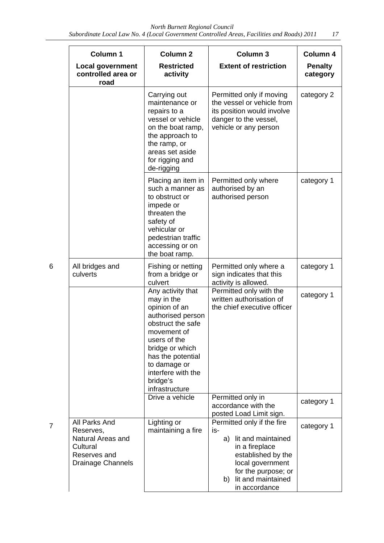|   | Column 1                                                                                         | <b>Column 2</b>                                                                                                                                                                                                                       | Column 3                                                                                                                                                                                   | Column 4                   |
|---|--------------------------------------------------------------------------------------------------|---------------------------------------------------------------------------------------------------------------------------------------------------------------------------------------------------------------------------------------|--------------------------------------------------------------------------------------------------------------------------------------------------------------------------------------------|----------------------------|
|   | <b>Local government</b><br>controlled area or<br>road                                            | <b>Restricted</b><br>activity                                                                                                                                                                                                         | <b>Extent of restriction</b>                                                                                                                                                               | <b>Penalty</b><br>category |
|   |                                                                                                  | Carrying out<br>maintenance or<br>repairs to a<br>vessel or vehicle<br>on the boat ramp,<br>the approach to<br>the ramp, or<br>areas set aside<br>for rigging and<br>de-rigging                                                       | Permitted only if moving<br>the vessel or vehicle from<br>its position would involve<br>danger to the vessel,<br>vehicle or any person                                                     | category 2                 |
|   |                                                                                                  | Placing an item in<br>such a manner as<br>to obstruct or<br>impede or<br>threaten the<br>safety of<br>vehicular or<br>pedestrian traffic<br>accessing or on<br>the boat ramp.                                                         | Permitted only where<br>authorised by an<br>authorised person                                                                                                                              | category 1                 |
| 6 | All bridges and<br>culverts                                                                      | Fishing or netting<br>from a bridge or<br>culvert                                                                                                                                                                                     | Permitted only where a<br>sign indicates that this<br>activity is allowed.                                                                                                                 | category 1                 |
|   |                                                                                                  | Any activity that<br>may in the<br>opinion of an<br>authorised person<br>obstruct the safe<br>movement of<br>users of the<br>bridge or which<br>has the potential<br>to damage or<br>interfere with the<br>bridge's<br>infrastructure | Permitted only with the<br>written authorisation of<br>the chief executive officer                                                                                                         | category 1                 |
|   |                                                                                                  | Drive a vehicle                                                                                                                                                                                                                       | Permitted only in<br>accordance with the<br>posted Load Limit sign.                                                                                                                        | category 1                 |
| 7 | All Parks And<br>Reserves,<br>Natural Areas and<br>Cultural<br>Reserves and<br>Drainage Channels | Lighting or<br>maintaining a fire                                                                                                                                                                                                     | Permitted only if the fire<br>is-<br>lit and maintained<br>a)<br>in a fireplace<br>established by the<br>local government<br>for the purpose; or<br>b) lit and maintained<br>in accordance | category 1                 |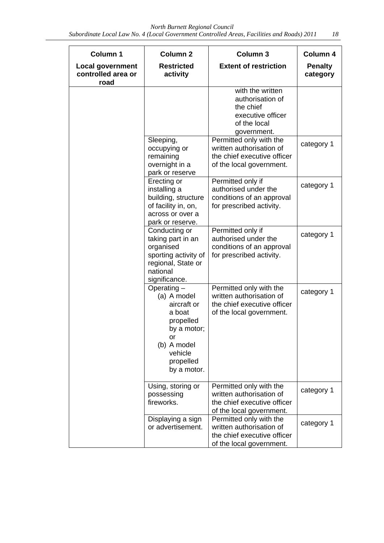*Subordinate Local Law No. 4 (Local Government Controlled Areas, Facilities and Roads) 2011 18* 

| Column 1                                              | Column <sub>2</sub>                                                                                                                           | Column <sub>3</sub>                                                                                            | Column 4                   |
|-------------------------------------------------------|-----------------------------------------------------------------------------------------------------------------------------------------------|----------------------------------------------------------------------------------------------------------------|----------------------------|
| <b>Local government</b><br>controlled area or<br>road | <b>Restricted</b><br>activity                                                                                                                 | <b>Extent of restriction</b>                                                                                   | <b>Penalty</b><br>category |
|                                                       |                                                                                                                                               | with the written<br>authorisation of<br>the chief<br>executive officer<br>of the local<br>government.          |                            |
|                                                       | Sleeping,<br>occupying or<br>remaining<br>overnight in a<br>park or reserve                                                                   | Permitted only with the<br>written authorisation of<br>the chief executive officer<br>of the local government. | category 1                 |
|                                                       | Erecting or<br>installing a<br>building, structure<br>of facility in, on,<br>across or over a<br>park or reserve.                             | Permitted only if<br>authorised under the<br>conditions of an approval<br>for prescribed activity.             | category 1                 |
|                                                       | Conducting or<br>taking part in an<br>organised<br>sporting activity of<br>regional, State or<br>national<br>significance.                    | Permitted only if<br>authorised under the<br>conditions of an approval<br>for prescribed activity.             | category 1                 |
|                                                       | Operating $-$<br>(a) A model<br>aircraft or<br>a boat<br>propelled<br>by a motor;<br>or<br>(b) A model<br>vehicle<br>propelled<br>by a motor. | Permitted only with the<br>written authorisation of<br>the chief executive officer<br>of the local government. | category 1                 |
|                                                       | Using, storing or<br>possessing<br>fireworks.                                                                                                 | Permitted only with the<br>written authorisation of<br>the chief executive officer<br>of the local government. | category 1                 |
|                                                       | Displaying a sign<br>or advertisement.                                                                                                        | Permitted only with the<br>written authorisation of<br>the chief executive officer<br>of the local government. | category 1                 |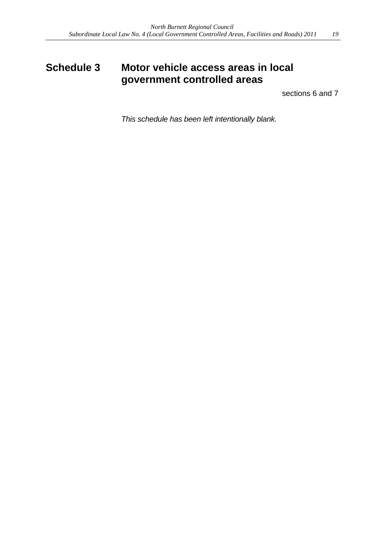### **Schedule 3 Motor vehicle access areas in local government controlled areas**

sections 6 and 7

*This schedule has been left intentionally blank.*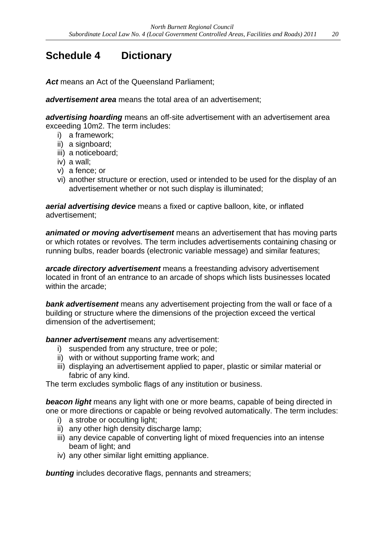## **Schedule 4 Dictionary**

Act means an Act of the Queensland Parliament:

*advertisement area* means the total area of an advertisement;

*advertising hoarding* means an off-site advertisement with an advertisement area exceeding 10m2. The term includes:

- i) a framework;
- ii) a signboard;
- iii) a noticeboard;
- iv) a wall;
- v) a fence; or
- vi) another structure or erection, used or intended to be used for the display of an advertisement whether or not such display is illuminated;

*aerial advertising device* means a fixed or captive balloon, kite, or inflated advertisement;

*animated or moving advertisement* means an advertisement that has moving parts or which rotates or revolves. The term includes advertisements containing chasing or running bulbs, reader boards (electronic variable message) and similar features;

*arcade directory advertisement* means a freestanding advisory advertisement located in front of an entrance to an arcade of shops which lists businesses located within the arcade;

*bank advertisement* means any advertisement projecting from the wall or face of a building or structure where the dimensions of the projection exceed the vertical dimension of the advertisement;

*banner advertisement* means any advertisement:

- i) suspended from any structure, tree or pole;
- ii) with or without supporting frame work; and
- iii) displaying an advertisement applied to paper, plastic or similar material or fabric of any kind.

The term excludes symbolic flags of any institution or business.

**beacon light** means any light with one or more beams, capable of being directed in one or more directions or capable or being revolved automatically. The term includes:

- i) a strobe or occulting light:
- ii) any other high density discharge lamp;
- iii) any device capable of converting light of mixed frequencies into an intense beam of light; and
- iv) any other similar light emitting appliance.

**bunting** includes decorative flags, pennants and streamers;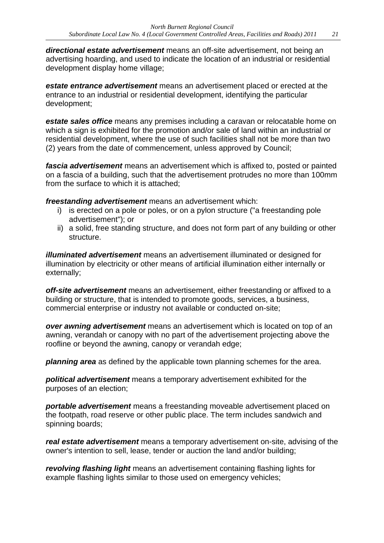*directional estate advertisement* means an off-site advertisement, not being an advertising hoarding, and used to indicate the location of an industrial or residential development display home village;

*estate entrance advertisement* means an advertisement placed or erected at the entrance to an industrial or residential development, identifying the particular development;

*estate sales office* means any premises including a caravan or relocatable home on which a sign is exhibited for the promotion and/or sale of land within an industrial or residential development, where the use of such facilities shall not be more than two (2) years from the date of commencement, unless approved by Council;

*fascia advertisement* means an advertisement which is affixed to, posted or painted on a fascia of a building, such that the advertisement protrudes no more than 100mm from the surface to which it is attached;

*freestanding advertisement* means an advertisement which:

- i) is erected on a pole or poles, or on a pylon structure ("a freestanding pole advertisement"); or
- ii) a solid, free standing structure, and does not form part of any building or other structure.

*illuminated advertisement* means an advertisement illuminated or designed for illumination by electricity or other means of artificial illumination either internally or externally;

*off-site advertisement* means an advertisement, either freestanding or affixed to a building or structure, that is intended to promote goods, services, a business, commercial enterprise or industry not available or conducted on-site;

*over awning advertisement* means an advertisement which is located on top of an awning, verandah or canopy with no part of the advertisement projecting above the roofline or beyond the awning, canopy or verandah edge;

*planning area* as defined by the applicable town planning schemes for the area.

*political advertisement* means a temporary advertisement exhibited for the purposes of an election;

*portable advertisement* means a freestanding moveable advertisement placed on the footpath, road reserve or other public place. The term includes sandwich and spinning boards;

*real estate advertisement* means a temporary advertisement on-site, advising of the owner's intention to sell, lease, tender or auction the land and/or building;

*revolving flashing light* means an advertisement containing flashing lights for example flashing lights similar to those used on emergency vehicles;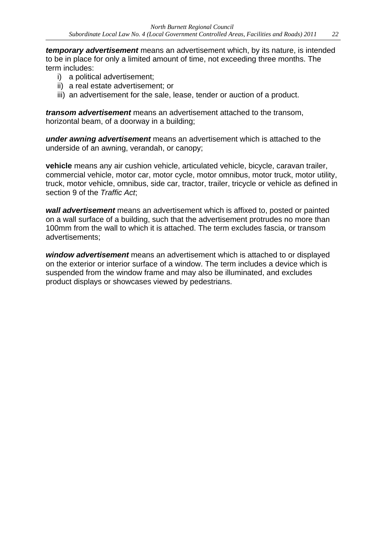*temporary advertisement* means an advertisement which, by its nature, is intended to be in place for only a limited amount of time, not exceeding three months. The term includes:

- i) a political advertisement;
- ii) a real estate advertisement; or
- iii) an advertisement for the sale, lease, tender or auction of a product.

*transom advertisement* means an advertisement attached to the transom, horizontal beam, of a doorway in a building;

*under awning advertisement* means an advertisement which is attached to the underside of an awning, verandah, or canopy;

**vehicle** means any air cushion vehicle, articulated vehicle, bicycle, caravan trailer, commercial vehicle, motor car, motor cycle, motor omnibus, motor truck, motor utility, truck, motor vehicle, omnibus, side car, tractor, trailer, tricycle or vehicle as defined in section 9 of the *Traffic Act*;

*wall advertisement* means an advertisement which is affixed to, posted or painted on a wall surface of a building, such that the advertisement protrudes no more than 100mm from the wall to which it is attached. The term excludes fascia, or transom advertisements;

*window advertisement* means an advertisement which is attached to or displayed on the exterior or interior surface of a window. The term includes a device which is suspended from the window frame and may also be illuminated, and excludes product displays or showcases viewed by pedestrians.